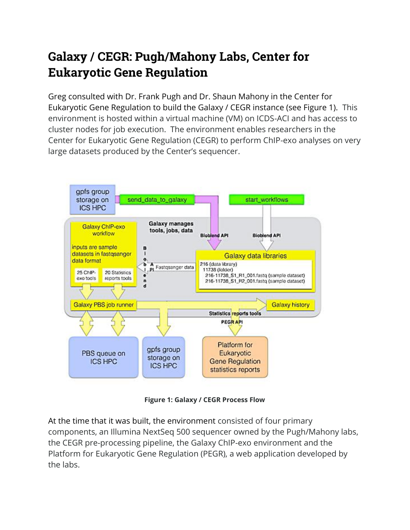## **Galaxy / CEGR: Pugh/Mahony Labs, Center for Eukaryotic Gene Regulation**

Greg consulted with Dr. Frank Pugh and Dr. Shaun Mahony in the Center for Eukaryotic Gene Regulation to build the Galaxy / CEGR instance (see Figure 1). This environment is hosted within a virtual machine (VM) on ICDS-ACI and has access to cluster nodes for job execution. The environment enables researchers in the Center for Eukaryotic Gene Regulation (CEGR) to perform ChIP-exo analyses on very large datasets produced by the Center's sequencer.



**Figure 1: Galaxy / CEGR Process Flow**

At the time that it was built, the environment consisted of four primary components, an Illumina NextSeq 500 sequencer owned by the Pugh/Mahony labs, the CEGR pre-processing pipeline, the Galaxy ChIP-exo environment and the Platform for Eukaryotic Gene Regulation (PEGR), a web application developed by the labs.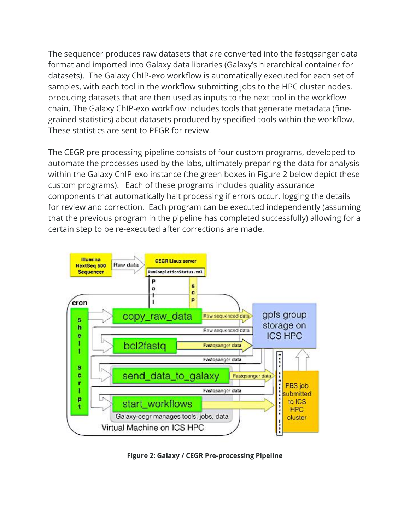The sequencer produces raw datasets that are converted into the fastqsanger data format and imported into Galaxy data libraries (Galaxy's hierarchical container for datasets). The Galaxy ChIP-exo workflow is automatically executed for each set of samples, with each tool in the workflow submitting jobs to the HPC cluster nodes, producing datasets that are then used as inputs to the next tool in the workflow chain. The Galaxy ChIP-exo workflow includes tools that generate metadata (finegrained statistics) about datasets produced by specified tools within the workflow. These statistics are sent to PEGR for review.

The CEGR pre-processing pipeline consists of four custom programs, developed to automate the processes used by the labs, ultimately preparing the data for analysis within the Galaxy ChIP-exo instance (the green boxes in Figure 2 below depict these custom programs). Each of these programs includes quality assurance components that automatically halt processing if errors occur, logging the details for review and correction. Each program can be executed independently (assuming that the previous program in the pipeline has completed successfully) allowing for a certain step to be re-executed after corrections are made.



**Figure 2: Galaxy / CEGR Pre-processing Pipeline**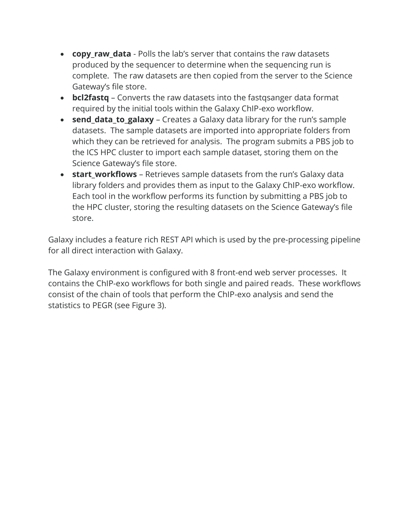- **copy\_raw\_data** Polls the lab's server that contains the raw datasets produced by the sequencer to determine when the sequencing run is complete. The raw datasets are then copied from the server to the Science Gateway's file store.
- **bcl2fastq** Converts the raw datasets into the fastqsanger data format required by the initial tools within the Galaxy ChIP-exo workflow.
- **send\_data\_to\_galaxy** Creates a Galaxy data library for the run's sample datasets. The sample datasets are imported into appropriate folders from which they can be retrieved for analysis. The program submits a PBS job to the ICS HPC cluster to import each sample dataset, storing them on the Science Gateway's file store.
- **start workflows** Retrieves sample datasets from the run's Galaxy data library folders and provides them as input to the Galaxy ChIP-exo workflow. Each tool in the workflow performs its function by submitting a PBS job to the HPC cluster, storing the resulting datasets on the Science Gateway's file store.

Galaxy includes a feature rich REST API which is used by the pre-processing pipeline for all direct interaction with Galaxy.

The Galaxy environment is configured with 8 front-end web server processes. It contains the ChIP-exo workflows for both single and paired reads. These workflows consist of the chain of tools that perform the ChIP-exo analysis and send the statistics to PEGR (see Figure 3).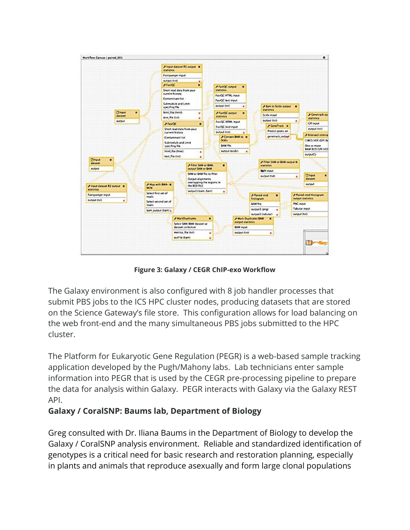

**Figure 3: Galaxy / CEGR ChIP-exo Workflow**

The Galaxy environment is also configured with 8 job handler processes that submit PBS jobs to the ICS HPC cluster nodes, producing datasets that are stored on the Science Gateway's file store. This configuration allows for load balancing on the web front-end and the many simultaneous PBS jobs submitted to the HPC cluster.

The Platform for Eukaryotic Gene Regulation (PEGR) is a web-based sample tracking application developed by the Pugh/Mahony labs. Lab technicians enter sample information into PEGR that is used by the CEGR pre-processing pipeline to prepare the data for analysis within Galaxy. PEGR interacts with Galaxy via the Galaxy REST API.

## **Galaxy / CoralSNP: Baums lab, Department of Biology**

Greg consulted with Dr. Iliana Baums in the Department of Biology to develop the Galaxy / CoralSNP analysis environment. Reliable and standardized identification of genotypes is a critical need for basic research and restoration planning, especially in plants and animals that reproduce asexually and form large clonal populations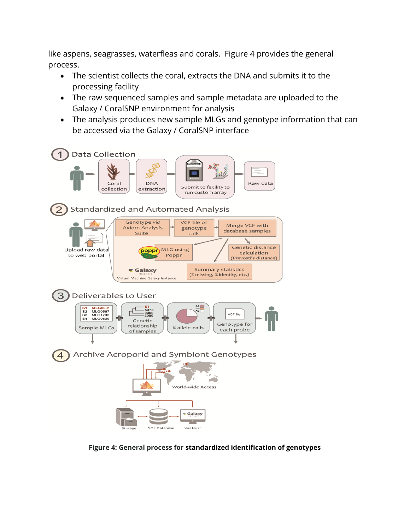like aspens, seagrasses, waterfleas and corals. Figure 4 provides the general process.

- The scientist collects the coral, extracts the DNA and submits it to the processing facility
- The raw sequenced samples and sample metadata are uploaded to the Galaxy / CoralSNP environment for analysis
- The analysis produces new sample MLGs and genotype information that can be accessed via the Galaxy / CoralSNP interface



**Figure 4: General process for standardized identification of genotypes**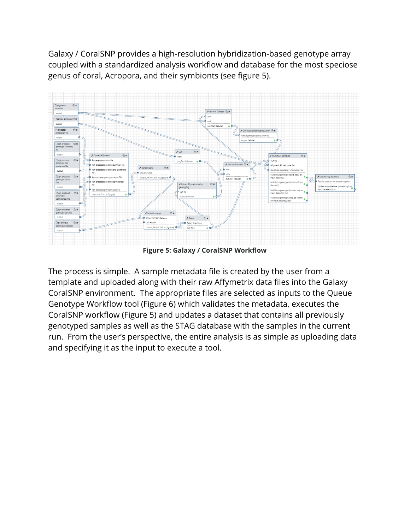Galaxy / CoralSNP provides a high-resolution hybridization-based genotype array coupled with a standardized analysis workflow and database for the most speciose genus of coral, Acropora, and their symbionts (see figure 5).



**Figure 5: Galaxy / CoralSNP Workflow**

The process is simple. A sample metadata file is created by the user from a template and uploaded along with their raw Affymetrix data files into the Galaxy CoralSNP environment. The appropriate files are selected as inputs to the Queue Genotype Workflow tool (Figure 6) which validates the metadata, executes the CoralSNP workflow (Figure 5) and updates a dataset that contains all previously genotyped samples as well as the STAG database with the samples in the current run. From the user's perspective, the entire analysis is as simple as uploading data and specifying it as the input to execute a tool.